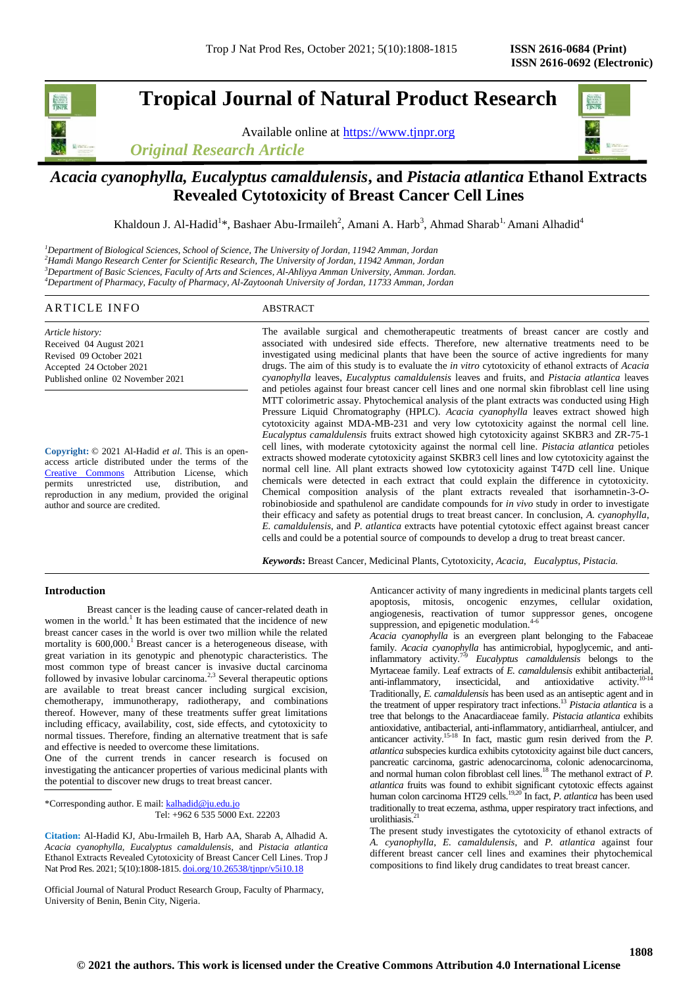# **Tropical Journal of Natural Product Research**

Available online at [https://www.tjnpr.org](https://www.tjnpr.org/)

*Original Research Article*



# *Acacia cyanophylla, Eucalyptus camaldulensis***, and** *Pistacia atlantica* **Ethanol Extracts Revealed Cytotoxicity of Breast Cancer Cell Lines**

Khaldoun J. Al-Hadid<sup>1\*</sup>, Bashaer Abu-Irmaileh<sup>2</sup>, Amani A. Harb<sup>3</sup>, Ahmad Sharab<sup>1,</sup> Amani Alhadid<sup>4</sup>

*Department of Biological Sciences, School of Science, The University of Jordan, 11942 Amman, Jordan Hamdi Mango Research Center for Scientific Research, The University of Jordan, 11942 Amman, Jordan Department of Basic Sciences, Faculty of Arts and Sciences, Al-Ahliyya Amman University, Amman. Jordan. Department of Pharmacy, Faculty of Pharmacy, Al-Zaytoonah University of Jordan, 11733 Amman, Jordan*

# ARTICLE INFO ABSTRACT

*Article history:* Received 04 August 2021 Revised 09 October 2021 Accepted 24 October 2021 Published online 02 November 2021

**Copyright:** © 2021 Al-Hadid *et al*. This is an openaccess article distributed under the terms of the [Creative Commons](https://creativecommons.org/licenses/by/4.0/) Attribution License, which permits unrestricted use, distribution, and reproduction in any medium, provided the original author and source are credited.

The available surgical and chemotherapeutic treatments of breast cancer are costly and associated with undesired side effects. Therefore, new alternative treatments need to be investigated using medicinal plants that have been the source of active ingredients for many drugs. The aim of this study is to evaluate the *in vitro* cytotoxicity of ethanol extracts of *Acacia cyanophylla* leaves, *Eucalyptus camaldulensis* leaves and fruits, and *Pistacia atlantica* leaves and petioles against four breast cancer cell lines and one normal skin fibroblast cell line using MTT colorimetric assay. Phytochemical analysis of the plant extracts was conducted using High Pressure Liquid Chromatography (HPLC). *Acacia cyanophylla* leaves extract showed high cytotoxicity against MDA-MB-231 and very low cytotoxicity against the normal cell line. *Eucalyptus camaldulensis* fruits extract showed high cytotoxicity against SKBR3 and ZR-75-1 cell lines, with moderate cytotoxicity against the normal cell line. *Pistacia atlantica* petioles extracts showed moderate cytotoxicity against SKBR3 cell lines and low cytotoxicity against the normal cell line. All plant extracts showed low cytotoxicity against T47D cell line. Unique chemicals were detected in each extract that could explain the difference in cytotoxicity. Chemical composition analysis of the plant extracts revealed that isorhamnetin-3-*O*robinobioside and spathulenol are candidate compounds for *in vivo* study in order to investigate their efficacy and safety as potential drugs to treat breast cancer. In conclusion, *A. cyanophylla*, *E. camaldulensis*, and *P. atlantica* extracts have potential cytotoxic effect against breast cancer cells and could be a potential source of compounds to develop a drug to treat breast cancer.

*Keywords***:** Breast Cancer, Medicinal Plants, Cytotoxicity, *Acacia*, *Eucalyptus*, *Pistacia.*

## **Introduction**

Breast cancer is the leading cause of cancer-related death in women in the world.<sup>1</sup> It has been estimated that the incidence of new breast cancer cases in the world is over two million while the related mortality is  $600,000$ .<sup>1</sup> Breast cancer is a heterogeneous disease, with great variation in its genotypic and phenotypic characteristics. The most common type of breast cancer is invasive ductal carcinoma followed by invasive lobular carcinoma.<sup>2,3</sup> Several therapeutic options are available to treat breast cancer including surgical excision, chemotherapy, immunotherapy, radiotherapy, and combinations thereof. However, many of these treatments suffer great limitations including efficacy, availability, cost, side effects, and cytotoxicity to normal tissues. Therefore, finding an alternative treatment that is safe and effective is needed to overcome these limitations.

One of the current trends in cancer research is focused on investigating the anticancer properties of various medicinal plants with the potential to discover new drugs to treat breast cancer.

\*Corresponding author. E mail[: kalhadid@ju.edu.jo](mailto:kalhadid@ju.edu.jo) Tel: +962 6 535 5000 Ext. 22203

**Citation:** Al-Hadid KJ, Abu-Irmaileh B, Harb AA, Sharab A, Alhadid A. *Acacia cyanophylla, Eucalyptus camaldulensis*, and *Pistacia atlantica* Ethanol Extracts Revealed Cytotoxicity of Breast Cancer Cell Lines. Trop J Nat Prod Res. 2021; 5(10):1808-1815. [doi.org/10.26538/tjnpr/v5i10.1](http://www.doi.org/10.26538/tjnpr/v1i4.5)8

Official Journal of Natural Product Research Group, Faculty of Pharmacy, University of Benin, Benin City, Nigeria.

Anticancer activity of many ingredients in medicinal plants targets cell apoptosis, mitosis, oncogenic enzymes, cellular oxidation, angiogenesis, reactivation of tumor suppressor genes, oncogene suppression, and epigenetic modulation. $4-6$ 

*Acacia cyanophylla* is an evergreen plant belonging to the Fabaceae family. *Acacia cyanophylla* has antimicrobial, hypoglycemic, and antiinflammatory activity. 7-9 *Eucalyptus camaldulensis* belongs to the Myrtaceae family. Leaf extracts of *E. camaldulensis* exhibit antibacterial, anti-inflammatory, insecticidal, and antioxidative activity.<sup>10-14</sup> Traditionally, *E. camaldulensis* has been used as an antiseptic agent and in the treatment of upper respiratory tract infections.<sup>13</sup> *Pistacia atlantica* is a tree that belongs to the Anacardiaceae family. *Pistacia atlantica* exhibits antioxidative, antibacterial, anti-inflammatory, antidiarrheal, antiulcer, and anticancer activity.<sup>15-18</sup> In fact, mastic gum resin derived from the *P*. *atlantica* subspecies kurdica exhibits cytotoxicity against bile duct cancers, pancreatic carcinoma, gastric adenocarcinoma, colonic adenocarcinoma, and normal human colon fibroblast cell lines.<sup>18</sup> The methanol extract of *P*. *atlantica* fruits was found to exhibit significant cytotoxic effects against human colon carcinoma HT29 cells.<sup>19,20</sup> In fact, *P. atlantica* has been used traditionally to treat eczema, asthma, upper respiratory tract infections, and urolithiasis.<sup>21</sup>

The present study investigates the cytotoxicity of ethanol extracts of *A. cyanophylla*, *E. camaldulensis*, and *P. atlantica* against four different breast cancer cell lines and examines their phytochemical compositions to find likely drug candidates to treat breast cancer.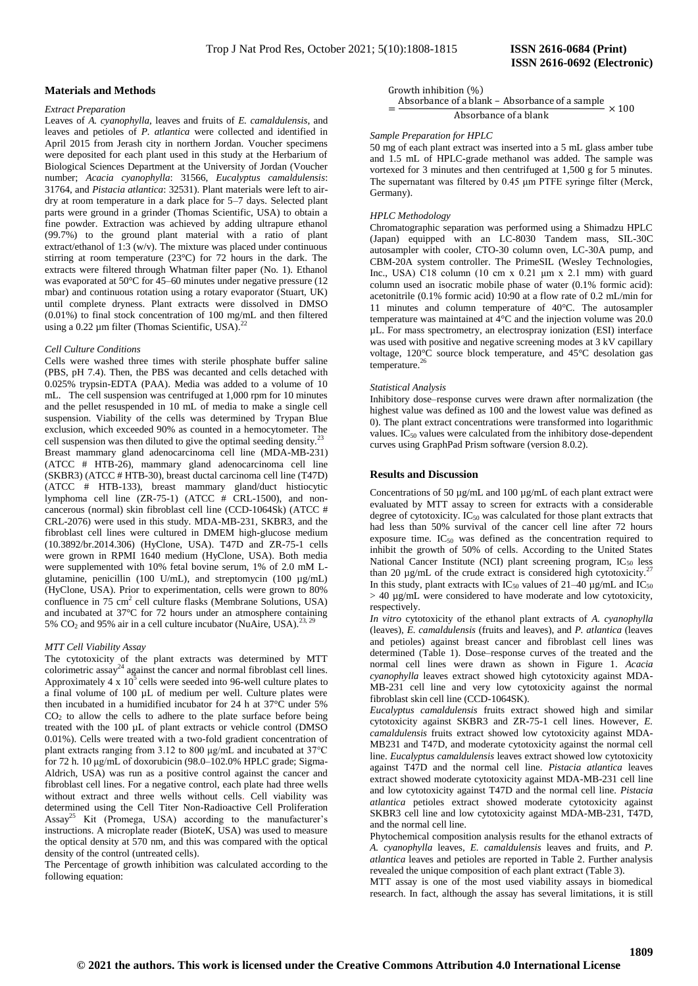## **Materials and Methods**

#### *Extract Preparation*

Leaves of *A. cyanophylla*, leaves and fruits of *E. camaldulensis*, and leaves and petioles of *P. atlantica* were collected and identified in April 2015 from Jerash city in northern Jordan. Voucher specimens were deposited for each plant used in this study at the Herbarium of Biological Sciences Department at the University of Jordan (Voucher number; *Acacia cyanophylla*: 31566, *Eucalyptus camaldulensis*: 31764, and *Pistacia atlantica*: 32531). Plant materials were left to airdry at room temperature in a dark place for 5–7 days. Selected plant parts were ground in a grinder (Thomas Scientific, USA) to obtain a fine powder. Extraction was achieved by adding ultrapure ethanol (99.7%) to the ground plant material with a ratio of plant extract/ethanol of 1:3 (w/v). The mixture was placed under continuous stirring at room temperature (23°C) for 72 hours in the dark. The extracts were filtered through Whatman filter paper (No. 1). Ethanol was evaporated at 50°C for 45–60 minutes under negative pressure (12 mbar) and continuous rotation using a rotary evaporator (Stuart, UK) until complete dryness. Plant extracts were dissolved in DMSO (0.01%) to final stock concentration of 100 mg/mL and then filtered using a 0.22  $\mu$ m filter (Thomas Scientific, USA).<sup>22</sup>

#### *Cell Culture Conditions*

Cells were washed three times with sterile phosphate buffer saline (PBS, pH 7.4). Then, the PBS was decanted and cells detached with 0.025% trypsin-EDTA (PAA). Media was added to a volume of 10 mL. The cell suspension was centrifuged at 1,000 rpm for 10 minutes and the pellet resuspended in 10 mL of media to make a single cell suspension. Viability of the cells was determined by Trypan Blue exclusion, which exceeded 90% as counted in a hemocytometer. The cell suspension was then diluted to give the optimal seeding density.<sup>2</sup> Breast mammary gland adenocarcinoma cell line (MDA-MB-231) (ATCC # HTB-26), mammary gland adenocarcinoma cell line (SKBR3) (ATCC # HTB-30), breast ductal carcinoma cell line (T47D) (ATCC # HTB-133), breast mammary gland/duct histiocytic lymphoma cell line (ZR-75-1) (ATCC # CRL-1500), and noncancerous (normal) skin fibroblast cell line (CCD-1064Sk) (ATCC # CRL-2076) were used in this study. MDA-MB-231, SKBR3, and the fibroblast cell lines were cultured in DMEM high-glucose medium [\(10.3892/br.2014.306\)](https://dx.doi.org/10.3892%2Fbr.2014.306) (HyClone, USA). T47D and ZR-75-1 cells were grown in RPMI 1640 medium (HyClone, USA). Both media were supplemented with 10% fetal bovine serum, 1% of 2.0 mM Lglutamine, penicillin (100 U/mL), and streptomycin (100  $\mu$ g/mL) (HyClone, USA). Prior to experimentation, cells were grown to 80% confluence in 75 cm<sup>2</sup> cell culture flasks (Membrane Solutions, USA) and incubated at 37°C for 72 hours under an atmosphere containing 5%  $CO<sub>2</sub>$  and 95% air in a cell culture incubator (NuAire, USA).<sup>2</sup>

## *MTT Cell Viability Assay*

The cytotoxicity of the plant extracts was determined by MTT colorimetric assay<sup>24</sup> against the cancer and normal fibroblast cell lines. Approximately 4 x  $10<sup>5</sup>$  cells were seeded into 96-well culture plates to a final volume of 100 µL of medium per well. Culture plates were then incubated in a humidified incubator for 24 h at 37°C under 5%  $CO<sub>2</sub>$  to allow the cells to adhere to the plate surface before being treated with the 100 µL of plant extracts or vehicle control (DMSO 0.01%). Cells were treated with a two-fold gradient concentration of plant extracts ranging from 3.12 to 800 μg/mL and incubated at 37°C for 72 h. 10 μg/mL of doxorubicin (98.0–102.0% HPLC grade; Sigma-Aldrich, USA) was run as a positive control against the cancer and fibroblast cell lines. For a negative control, each plate had three wells without extract and three wells without cells. Cell viability was determined using the Cell Titer Non-Radioactive Cell Proliferation Assay<sup>25</sup> Kit (Promega, USA) according to the manufacturer's instructions. A microplate reader (BioteK, USA) was used to measure the optical density at 570 nm, and this was compared with the optical density of the control (untreated cells).

The Percentage of growth inhibition was calculated according to the following equation:

Growth inhibition  $(\%)$ 

 $=\frac{A}{A}$ Absorbance of a blank

# *Sample Preparation for HPLC*

50 mg of each plant extract was inserted into a 5 mL glass amber tube and 1.5 mL of HPLC-grade methanol was added. The sample was vortexed for 3 minutes and then centrifuged at 1,500 g for 5 minutes. The supernatant was filtered by 0.45 μm PTFE syringe filter (Merck, Germany).

## *HPLC Methodology*

Chromatographic separation was performed using a Shimadzu HPLC (Japan) equipped with an LC-8030 Tandem mass, SIL-30C autosampler with cooler, CTO-30 column oven, LC-30A pump, and CBM-20A system controller. The PrimeSIL (Wesley Technologies, Inc., USA) C18 column (10 cm x 0.21  $\mu$ m x 2.1 mm) with guard column used an isocratic mobile phase of water (0.1% formic acid): acetonitrile (0.1% formic acid) 10:90 at a flow rate of 0.2 mL/min for 11 minutes and column temperature of 40°C. The autosampler temperature was maintained at  $4^{\circ}$ C and the injection volume was 20.0 µL. For mass spectrometry, an electrospray ionization (ESI) interface was used with positive and negative screening modes at 3 kV capillary voltage, 120°C source block temperature, and 45°C desolation gas temperature.<sup>26</sup>

#### *Statistical Analysis*

Inhibitory dose–response curves were drawn after normalization (the highest value was defined as 100 and the lowest value was defined as 0). The plant extract concentrations were transformed into logarithmic values.  $IC_{50}$  values were calculated from the inhibitory dose-dependent curves using GraphPad Prism software (version 8.0.2).

## **Results and Discussion**

Concentrations of 50 µg/mL and 100 µg/mL of each plant extract were evaluated by MTT assay to screen for extracts with a considerable degree of cytotoxicity.  $IC_{50}$  was calculated for those plant extracts that had less than 50% survival of the cancer cell line after 72 hours exposure time.  $IC_{50}$  was defined as the concentration required to inhibit the growth of 50% of cells. According to the United States National Cancer Institute (NCI) plant screening program,  $IC_{50}$  less than 20  $\mu$ g/mL of the crude extract is considered high cytotoxicity.<sup>27</sup> In this study, plant extracts with IC<sub>50</sub> values of 21–40  $\mu$ g/mL and IC<sub>50</sub>  $> 40 \mu g/mL$  were considered to have moderate and low cytotoxicity, respectively.

*In vitro* cytotoxicity of the ethanol plant extracts of *A. cyanophylla* (leaves), *E. camaldulensis* (fruits and leaves), and *P. atlantica* (leaves and petioles) against breast cancer and fibroblast cell lines was determined (Table 1). Dose–response curves of the treated and the normal cell lines were drawn as shown in Figure 1. *Acacia cyanophylla* leaves extract showed high cytotoxicity against MDA-MB-231 cell line and very low cytotoxicity against the normal fibroblast skin cell line (CCD-1064SK).

*Eucalyptus camaldulensis* fruits extract showed high and similar cytotoxicity against SKBR3 and ZR-75-1 cell lines. However, *E. camaldulensis* fruits extract showed low cytotoxicity against MDA-MB231 and T47D, and moderate cytotoxicity against the normal cell line. *Eucalyptus camaldulensis* leaves extract showed low cytotoxicity against T47D and the normal cell line. *Pistacia atlantica* leaves extract showed moderate cytotoxicity against MDA-MB-231 cell line and low cytotoxicity against T47D and the normal cell line. *Pistacia atlantica* petioles extract showed moderate cytotoxicity against SKBR3 cell line and low cytotoxicity against MDA-MB-231, T47D, and the normal cell line.

Phytochemical composition analysis results for the ethanol extracts of *A. cyanophylla* leaves, *E. camaldulensis* leaves and fruits, and *P. atlantica* leaves and petioles are reported in Table 2. Further analysis revealed the unique composition of each plant extract (Table 3).

MTT assay is one of the most used viability assays in biomedical research. In fact, although the assay has several limitations, it is still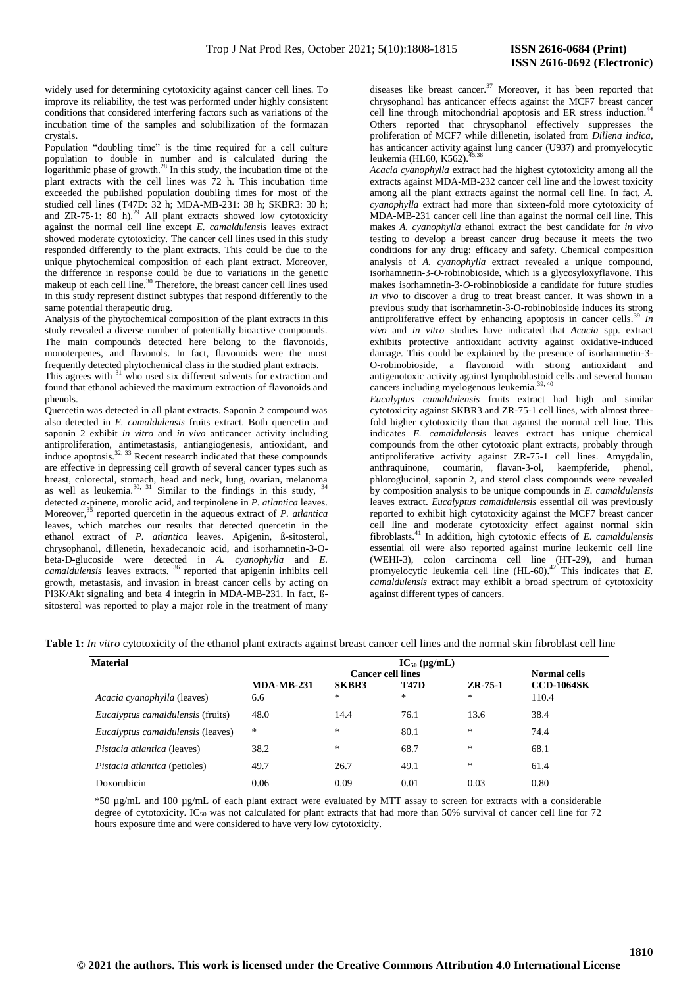widely used for determining cytotoxicity against cancer cell lines. To improve its reliability, the test was performed under highly consistent conditions that considered interfering factors such as variations of the incubation time of the samples and solubilization of the formazan crystals.

Population "doubling time" is the time required for a cell culture population to double in number and is calculated during the logarithmic phase of growth. $28$  In this study, the incubation time of the plant extracts with the cell lines was 72 h. This incubation time exceeded the published population doubling times for most of the studied cell lines (T47D: 32 h; MDA-MB-231: 38 h; SKBR3: 30 h; and  $ZR-75-1$ : 80 h).<sup>29</sup> All plant extracts showed low cytotoxicity against the normal cell line except *E. camaldulensis* leaves extract showed moderate cytotoxicity. The cancer cell lines used in this study responded differently to the plant extracts. This could be due to the unique phytochemical composition of each plant extract. Moreover, the difference in response could be due to variations in the genetic makeup of each cell line.<sup>30</sup> Therefore, the breast cancer cell lines used in this study represent distinct subtypes that respond differently to the same potential therapeutic drug.

Analysis of the phytochemical composition of the plant extracts in this study revealed a diverse number of potentially bioactive compounds. The main compounds detected here belong to the flavonoids, monoterpenes, and flavonols. In fact, flavonoids were the most frequently detected phytochemical class in the studied plant extracts.

This agrees with <sup>31</sup> who used six different solvents for extraction and found that ethanol achieved the maximum extraction of flavonoids and phenols.

Quercetin was detected in all plant extracts. Saponin 2 compound was also detected in *E. camaldulensis* fruits extract. Both quercetin and saponin 2 exhibit *in vitro* and *in vivo* anticancer activity including antiproliferation, antimetastasis, antiangiogenesis, antioxidant, and induce apoptosis. $32, 33$  Recent research indicated that these compounds are effective in depressing cell growth of several cancer types such as breast, colorectal, stomach, head and neck, lung, ovarian, melanoma as well as leukemia.<sup>30, 31</sup> Similar to the findings in this study,  $34$ detected  $\alpha$ -pinene, morolic acid, and terpinolene in  $P$ . *atlantica* leaves. Moreover,<sup>35</sup> reported quercetin in the aqueous extract of *P. atlantica* leaves, which matches our results that detected quercetin in the ethanol extract of *P. atlantica* leaves. Apigenin, ß-sitosterol, chrysophanol, dillenetin, hexadecanoic acid, and isorhamnetin-3-Obeta-D-glucoside were detected in *A. cyanophylla* and *E. camaldulensis* leaves extracts. <sup>36</sup> reported that apigenin inhibits cell growth, metastasis, and invasion in breast cancer cells by acting on PI3K/Akt signaling and beta 4 integrin in MDA-MB-231. In fact, ßsitosterol was reported to play a major role in the treatment of many

diseases like breast cancer.<sup>37</sup> Moreover, it has been reported that chrysophanol has anticancer effects against the MCF7 breast cancer cell line through mitochondrial apoptosis and ER stress induction.<sup>4</sup> Others reported that chrysophanol effectively suppresses the proliferation of MCF7 while dillenetin, isolated from *Dillena indica*, has anticancer activity against lung cancer (U937) and promyelocytic leukemia (HL60, K562).

*Acacia cyanophylla* extract had the highest cytotoxicity among all the extracts against MDA-MB-232 cancer cell line and the lowest toxicity among all the plant extracts against the normal cell line. In fact, *A. cyanophylla* extract had more than sixteen-fold more cytotoxicity of MDA-MB-231 cancer cell line than against the normal cell line. This makes *A. cyanophylla* ethanol extract the best candidate for *in vivo* testing to develop a breast cancer drug because it meets the two conditions for any drug: efficacy and safety. Chemical composition analysis of *A. cyanophylla* extract revealed a unique compound, isorhamnetin-3-*O*-robinobioside, which is a glycosyloxyflavone. This makes isorhamnetin-3-*O*-robinobioside a candidate for future studies *in vivo* to discover a drug to treat breast cancer. It was shown in a previous study that isorhamnetin-3-O-robinobioside induces its strong antiproliferative effect by enhancing apoptosis in cancer cells.<sup>39</sup> *In vivo* and *in vitro* studies have indicated that *Acacia* spp. extract exhibits protective antioxidant activity against oxidative-induced damage. This could be explained by the presence of isorhamnetin-3- O-robinobioside, a flavonoid with strong antioxidant and antigenotoxic activity against lymphoblastoid cells and several human cancers including myelogenous leukemia.<sup>39, 40</sup>

*Eucalyptus camaldulensis* fruits extract had high and similar cytotoxicity against SKBR3 and ZR-75-1 cell lines, with almost threefold higher cytotoxicity than that against the normal cell line. This indicates *E. camaldulensis* leaves extract has unique chemical compounds from the other cytotoxic plant extracts, probably through antiproliferative activity against ZR-75-1 cell lines. Amygdalin, anthraquinone, coumarin, flavan-3-ol, kaempferide, phenol, phloroglucinol, saponin 2, and sterol class compounds were revealed by composition analysis to be unique compounds in *E. camaldulensis*  leaves extract. *Eucalyptus camaldulensis* essential oil was previously reported to exhibit high cytotoxicity against the MCF7 breast cancer cell line and moderate cytotoxicity effect against normal skin fibroblasts.<sup>41</sup> In addition, high cytotoxic effects of *E. camaldulensis* essential oil were also reported against murine leukemic cell line (WEHI-3), colon carcinoma cell line (HT-29), and human promyelocytic leukemia cell line  $(HL-60)$ .<sup>42</sup> This indicates that *E*. *camaldulensis* extract may exhibit a broad spectrum of cytotoxicity against different types of cancers.

|  |  | <b>Table 1:</b> In vitro evtotoxicity of the ethanol plant extracts against breast cancer cell lines and the normal skin fibroblast cell line |
|--|--|-----------------------------------------------------------------------------------------------------------------------------------------------|
|  |  |                                                                                                                                               |

| <b>Material</b>                      |                          |              | $IC_{50}$ (µg/mL) |                     |                   |
|--------------------------------------|--------------------------|--------------|-------------------|---------------------|-------------------|
|                                      | <b>Cancer cell lines</b> |              |                   | <b>Normal cells</b> |                   |
|                                      | <b>MDA-MB-231</b>        | <b>SKBR3</b> | <b>T47D</b>       | $ZR-75-1$           | <b>CCD-1064SK</b> |
| Acacia cyanophylla (leaves)          | 6.6                      | $\ast$       | $\ast$            | $*$                 | 110.4             |
| Eucalyptus camaldulensis (fruits)    | 48.0                     | 14.4         | 76.1              | 13.6                | 38.4              |
| Eucalyptus camaldulensis (leaves)    | *                        | $\ast$       | 80.1              | $\ast$              | 74.4              |
| <i>Pistacia atlantica</i> (leaves)   | 38.2                     | $\ast$       | 68.7              | $\ast$              | 68.1              |
| <i>Pistacia atlantica</i> (petioles) | 49.7                     | 26.7         | 49.1              | $\ast$              | 61.4              |
| Doxorubicin                          | 0.06                     | 0.09         | 0.01              | 0.03                | 0.80              |

\*50 µg/mL and 100 µg/mL of each plant extract were evaluated by MTT assay to screen for extracts with a considerable degree of cytotoxicity. IC<sub>50</sub> was not calculated for plant extracts that had more than 50% survival of cancer cell line for 72 hours exposure time and were considered to have very low cytotoxicity.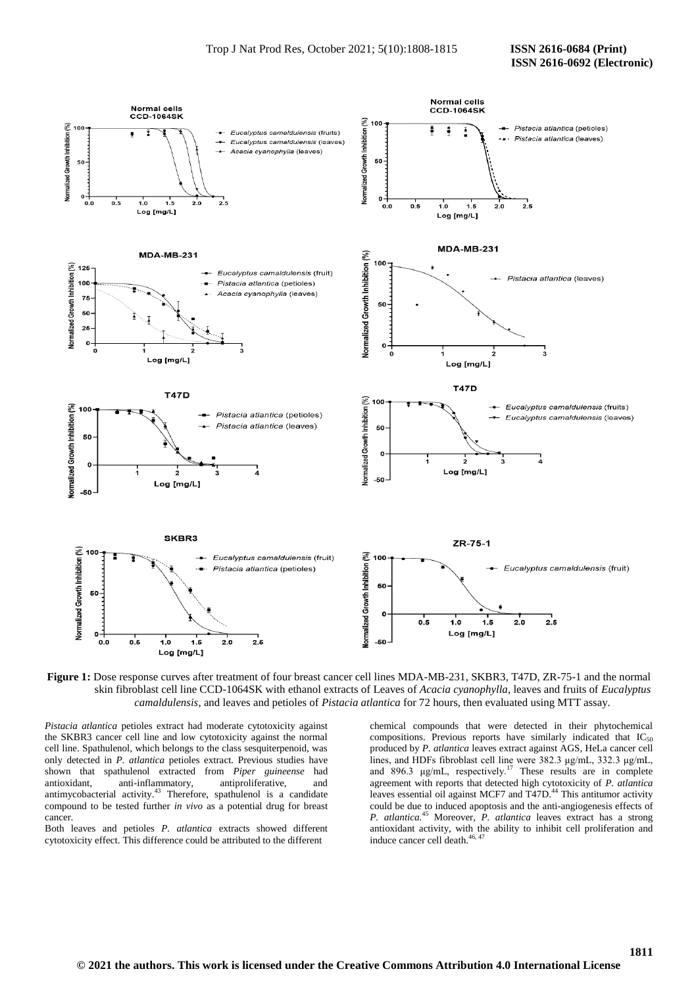

**Figure 1:** Dose response curves after treatment of four breast cancer cell lines MDA-MB-231, SKBR3, T47D, ZR-75-1 and the normal skin fibroblast cell line CCD-1064SK with ethanol extracts of Leaves of *Acacia cyanophylla*, leaves and fruits of *Eucalyptus camaldulensis*, and leaves and petioles of *Pistacia atlantica* for 72 hours, then evaluated using MTT assay.

*Pistacia atlantica* petioles extract had moderate cytotoxicity against the SKBR3 cancer cell line and low cytotoxicity against the normal cell line. Spathulenol, which belongs to the class sesquiterpenoid, was only detected in *P. atlantica* petioles extract. Previous studies have shown that spathulenol extracted from *Piper guineense* had antioxidant, anti-inflammatory, antiproliferative, and antimycobacterial activity.<sup>43</sup> Therefore, spathulenol is a candidate compound to be tested further *in vivo* as a potential drug for breast cancer.

Both leaves and petioles *P. atlantica* extracts showed different cytotoxicity effect. This difference could be attributed to the different

chemical compounds that were detected in their phytochemical compositions. Previous reports have similarly indicated that  $IC_{50}$ produced by *P. atlantica* leaves extract against AGS, HeLa cancer cell lines, and HDFs fibroblast cell line were 382.3 μg/mL, 332.3 μg/mL, and 896.3  $\mu$ g/mL, respectively.<sup>17</sup> These results are in complete agreement with reports that detected high cytotoxicity of *P. atlantica* leaves essential oil against MCF7 and T47D.<sup>44</sup> This antitumor activity could be due to induced apoptosis and the anti-angiogenesis effects of *P. atlantica.*<sup>45</sup> Moreover, *P. atlantica* leaves extract has a strong antioxidant activity, with the ability to inhibit cell proliferation and induce cancer cell death.<sup>46, 47</sup>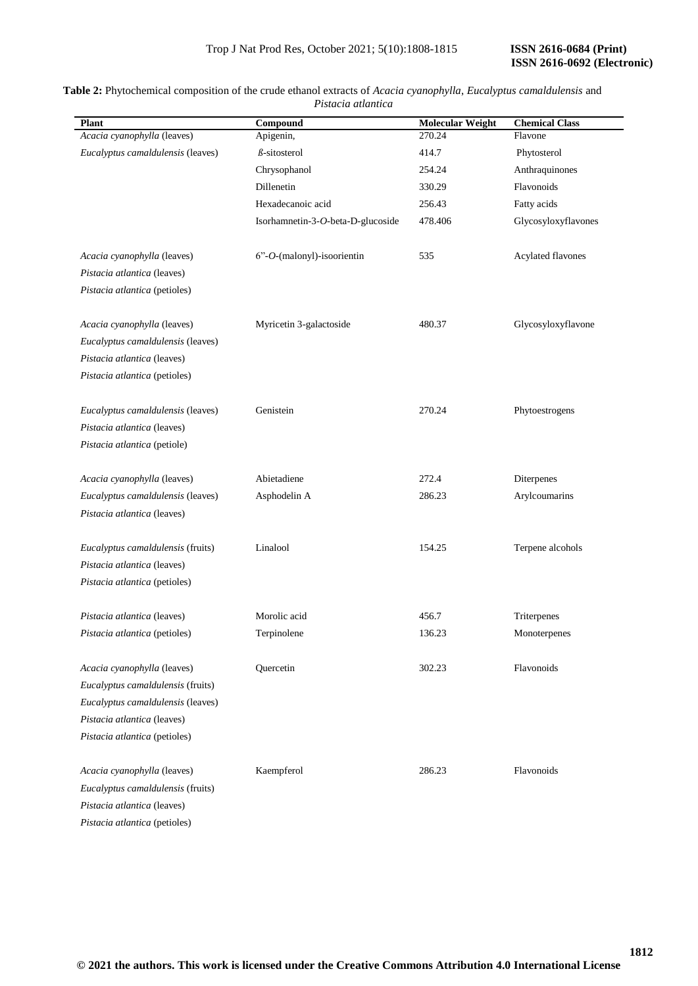## **Plant Compound Molecular Weight Chemical Class** *Acacia cyanophylla* (leaves) *Eucalyptus camaldulensis* (leaves) Apigenin, *ß*-sitosterol Chrysophanol Dillenetin Hexadecanoic acid Isorhamnetin-3-*O*-beta-D-glucoside 270.24 414.7 254.24 330.29 256.43 478.406 Flavone Phytosterol Anthraquinones Flavonoids Fatty acids Glycosyloxyflavones *Acacia cyanophylla* (leaves) *Pistacia atlantica* (leaves) *Pistacia atlantica* (petioles) 6"-*O*-(malonyl)-isoorientin 535 Acylated flavones *Acacia cyanophylla* (leaves) *Eucalyptus camaldulensis* (leaves) *Pistacia atlantica* (leaves) *Pistacia atlantica* (petioles) Myricetin 3-galactoside 480.37 Glycosyloxyflavone *Eucalyptus camaldulensis* (leaves) *Pistacia atlantica* (leaves) *Pistacia atlantica* (petiole) Genistein 270.24 Phytoestrogens *Acacia cyanophylla* (leaves) *Eucalyptus camaldulensis* (leaves) *Pistacia atlantica* (leaves) Abietadiene Asphodelin A 272.4 286.23 Diterpenes Arylcoumarins *Eucalyptus camaldulensis* (fruits) *Pistacia atlantica* (leaves) *Pistacia atlantica* (petioles) Linalool 154.25 Terpene alcohols *Pistacia atlantica* (leaves) *Pistacia atlantica* (petioles) Morolic acid Terpinolene 456.7 136.23 Triterpenes Monoterpenes *Acacia cyanophylla* (leaves) *Eucalyptus camaldulensis* (fruits) *Eucalyptus camaldulensis* (leaves) *Pistacia atlantica* (leaves) *Pistacia atlantica* (petioles) Quercetin 302.23 Flavonoids *Acacia cyanophylla* (leaves) *Eucalyptus camaldulensis* (fruits) *Pistacia atlantica* (leaves) Kaempferol 286.23 Flavonoids

# **Table 2:** Phytochemical composition of the crude ethanol extracts of *Acacia cyanophylla*, *Eucalyptus camaldulensis* and *Pistacia atlantica*

*Pistacia atlantica* (petioles)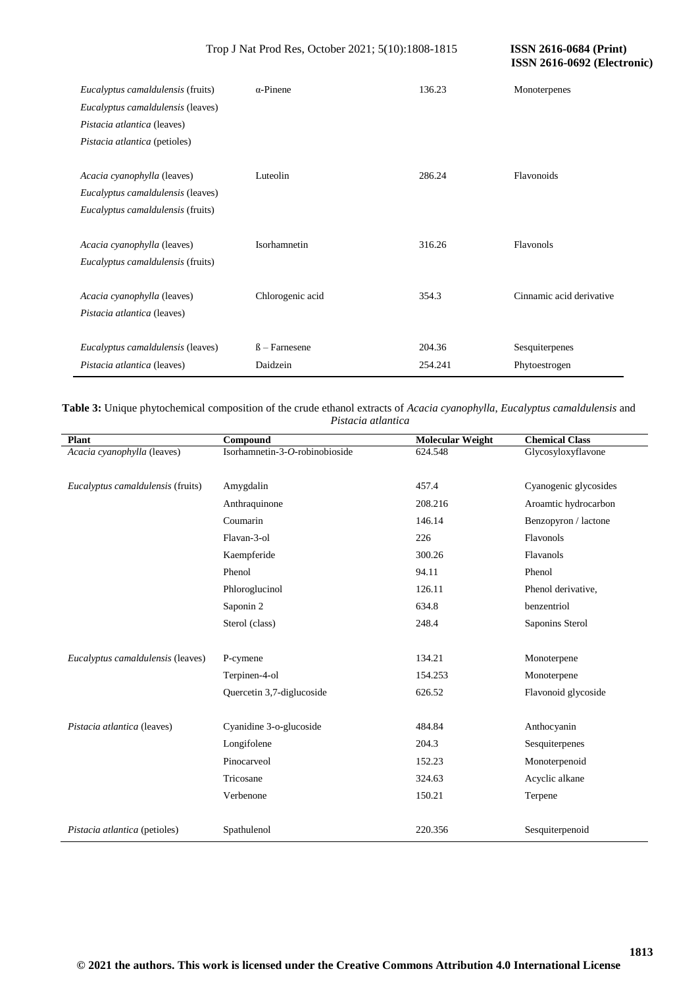**ISSN 2616-0692 (Electronic)** 

| <i>Eucalyptus camaldulensis</i> (fruits)<br>Eucalyptus camaldulensis (leaves)<br>Pistacia atlantica (leaves)<br>Pistacia atlantica (petioles) | $\alpha$ -Pinene                | 136.23            | Monoterpenes                    |
|-----------------------------------------------------------------------------------------------------------------------------------------------|---------------------------------|-------------------|---------------------------------|
| Acacia cyanophylla (leaves)<br>Eucalyptus camaldulensis (leaves)<br>Eucalyptus camaldulensis (fruits)                                         | Luteolin                        | 286.24            | Flavonoids                      |
| Acacia cyanophylla (leaves)<br><i>Eucalyptus camaldulensis</i> (fruits)                                                                       | Isorhamnetin                    | 316.26            | Flavonols                       |
| Acacia cyanophylla (leaves)<br>Pistacia atlantica (leaves)                                                                                    | Chlorogenic acid                | 354.3             | Cinnamic acid derivative        |
| Eucalyptus camaldulensis (leaves)<br>Pistacia atlantica (leaves)                                                                              | $\beta$ – Farnesene<br>Daidzein | 204.36<br>254.241 | Sesquiterpenes<br>Phytoestrogen |

**Table 3:** Unique phytochemical composition of the crude ethanol extracts of *Acacia cyanophylla*, *Eucalyptus camaldulensis* and *Pistacia atlantica*

| <b>Plant</b>                      | Compound                       | <b>Molecular Weight</b> | <b>Chemical Class</b> |
|-----------------------------------|--------------------------------|-------------------------|-----------------------|
| Acacia cyanophylla (leaves)       | Isorhamnetin-3-O-robinobioside | 624.548                 | Glycosyloxyflavone    |
|                                   |                                |                         |                       |
| Eucalyptus camaldulensis (fruits) | Amygdalin                      | 457.4                   | Cyanogenic glycosides |
|                                   | Anthraquinone                  | 208.216                 | Aroamtic hydrocarbon  |
|                                   | Coumarin                       | 146.14                  | Benzopyron / lactone  |
|                                   | Flavan-3-ol                    | 226                     | Flavonols             |
|                                   | Kaempferide                    | 300.26                  | Flavanols             |
|                                   | Phenol                         | 94.11                   | Phenol                |
|                                   | Phloroglucinol                 | 126.11                  | Phenol derivative,    |
|                                   | Saponin 2                      | 634.8                   | benzentriol           |
|                                   | Sterol (class)                 | 248.4                   | Saponins Sterol       |
|                                   |                                |                         |                       |
| Eucalyptus camaldulensis (leaves) | P-cymene                       | 134.21                  | Monoterpene           |
|                                   | Terpinen-4-ol                  | 154.253                 | Monoterpene           |
|                                   | Quercetin 3,7-diglucoside      | 626.52                  | Flavonoid glycoside   |
|                                   |                                |                         |                       |
| Pistacia atlantica (leaves)       | Cyanidine 3-o-glucoside        | 484.84                  | Anthocyanin           |
|                                   | Longifolene                    | 204.3                   | Sesquiterpenes        |
|                                   | Pinocarveol                    | 152.23                  | Monoterpenoid         |
|                                   | Tricosane                      | 324.63                  | Acyclic alkane        |
|                                   | Verbenone                      | 150.21                  | Terpene               |
|                                   |                                |                         |                       |
| Pistacia atlantica (petioles)     | Spathulenol                    | 220.356                 | Sesquiterpenoid       |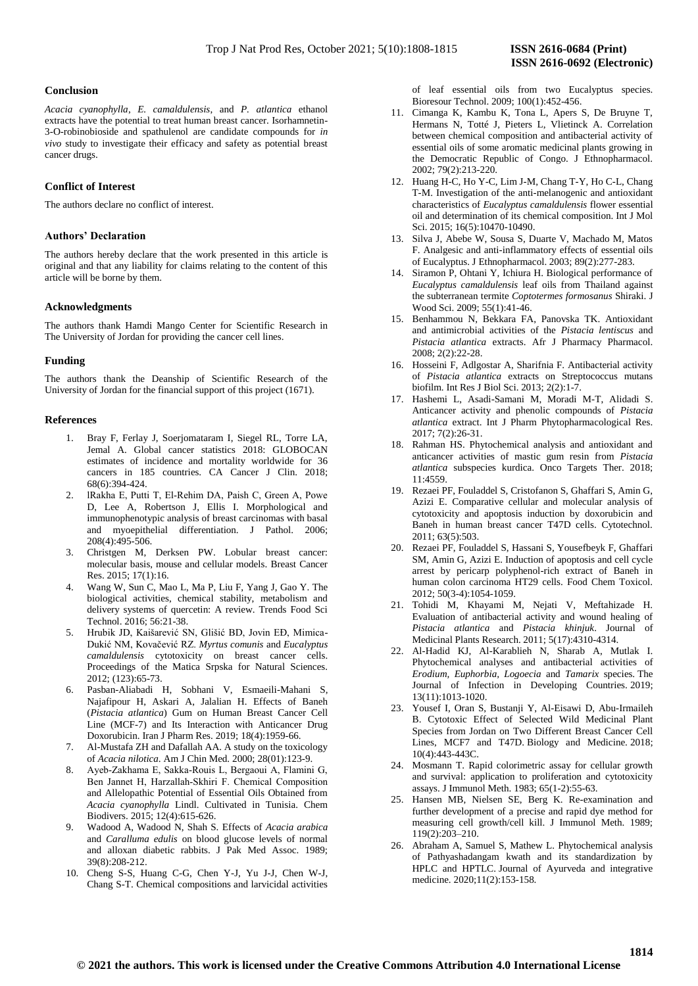## **Conclusion**

*Acacia cyanophylla*, *E. camaldulensis*, and *P. atlantica* ethanol extracts have the potential to treat human breast cancer. Isorhamnetin-3-O-robinobioside and spathulenol are candidate compounds for *in vivo* study to investigate their efficacy and safety as potential breast cancer drugs.

# **Conflict of Interest**

The authors declare no conflict of interest.

# **Authors' Declaration**

The authors hereby declare that the work presented in this article is original and that any liability for claims relating to the content of this article will be borne by them.

## **Acknowledgments**

The authors thank Hamdi Mango Center for Scientific Research in The University of Jordan for providing the cancer cell lines.

#### **Funding**

The authors thank the Deanship of Scientific Research of the University of Jordan for the financial support of this project (1671).

## **References**

- 1. Bray F, Ferlay J, Soerjomataram I, Siegel RL, Torre LA, Jemal A. Global cancer statistics 2018: GLOBOCAN estimates of incidence and mortality worldwide for 36 cancers in 185 countries. CA Cancer J Clin. 2018; 68(6):394-424.
- 2. lRakha E, Putti T, El‐Rehim DA, Paish C, Green A, Powe D, Lee A, Robertson J, Ellis I. Morphological and immunophenotypic analysis of breast carcinomas with basal and myoepithelial differentiation. J Pathol. 2006; 208(4):495-506.
- 3. Christgen M, Derksen PW. Lobular breast cancer: molecular basis, mouse and cellular models. Breast Cancer Res. 2015; 17(1):16.
- 4. Wang W, Sun C, Mao L, Ma P, Liu F, Yang J, Gao Y. The biological activities, chemical stability, metabolism and delivery systems of quercetin: A review. Trends Food Sci Technol. 2016; 56:21-38.
- 5. Hrubik JD, Kaišarević SN, Glišić BD, Jovin EĐ, Mimica-Dukić NM, Kovačević RZ. *Myrtus comunis* and *Eucalyptus camaldulensis* cytotoxicity on breast cancer cells. Proceedings of the Matica Srpska for Natural Sciences. 2012; (123):65-73.
- 6. Pasban-Aliabadi H, Sobhani V, Esmaeili-Mahani S, Najafipour H, Askari A, Jalalian H. Effects of Baneh (*Pistacia atlantica*) Gum on Human Breast Cancer Cell Line (MCF-7) and Its Interaction with Anticancer Drug Doxorubicin. Iran J Pharm Res. 2019; 18(4):1959-66.
- 7. Al-Mustafa ZH and Dafallah AA. A study on the toxicology of *Acacia nilotica*. Am J Chin Med. 2000; 28(01):123-9.
- 8. Ayeb‐Zakhama E, Sakka‐Rouis L, Bergaoui A, Flamini G, Ben Jannet H, Harzallah‐Skhiri F. Chemical Composition and Allelopathic Potential of Essential Oils Obtained from *Acacia cyanophylla* Lindl. Cultivated in Tunisia. Chem Biodivers. 2015; 12(4):615-626.
- 9. Wadood A, Wadood N, Shah S. Effects of *Acacia arabica* and *Caralluma edulis* on blood glucose levels of normal and alloxan diabetic rabbits. J Pak Med Assoc. 1989; 39(8):208-212.
- 10. Cheng S-S, Huang C-G, Chen Y-J, Yu J-J, Chen W-J, Chang S-T. Chemical compositions and larvicidal activities

of leaf essential oils from two Eucalyptus species. Bioresour Technol. 2009; 100(1):452-456.

- 11. Cimanga K, Kambu K, Tona L, Apers S, De Bruyne T, Hermans N, Totté J, Pieters L, Vlietinck A. Correlation between chemical composition and antibacterial activity of essential oils of some aromatic medicinal plants growing in the Democratic Republic of Congo. J Ethnopharmacol. 2002; 79(2):213-220.
- 12. Huang H-C, Ho Y-C, Lim J-M, Chang T-Y, Ho C-L, Chang T-M. Investigation of the anti-melanogenic and antioxidant characteristics of *Eucalyptus camaldulensis* flower essential oil and determination of its chemical composition. Int J Mol Sci. 2015; 16(5):10470-10490.
- 13. Silva J, Abebe W, Sousa S, Duarte V, Machado M, Matos F. Analgesic and anti-inflammatory effects of essential oils of Eucalyptus. J Ethnopharmacol. 2003; 89(2):277-283.
- 14. Siramon P, Ohtani Y, Ichiura H. Biological performance of *Eucalyptus camaldulensis* leaf oils from Thailand against the subterranean termite *Coptotermes formosanus* Shiraki. J Wood Sci. 2009; 55(1):41-46.
- 15. Benhammou N, Bekkara FA, Panovska TK. Antioxidant and antimicrobial activities of the *Pistacia lentiscus* and *Pistacia atlantica* extracts. Afr J Pharmacy Pharmacol. 2008; 2(2):22-28.
- 16. Hosseini F, Adlgostar A, Sharifnia F. Antibacterial activity of *Pistacia atlantica* extracts on Streptococcus mutans biofilm. Int Res J Biol Sci. 2013; 2(2):1-7.
- 17. Hashemi L, Asadi-Samani M, Moradi M-T, Alidadi S. Anticancer activity and phenolic compounds of *Pistacia atlantica* extract. Int J Pharm Phytopharmacological Res. 2017; 7(2):26-31.
- 18. Rahman HS. Phytochemical analysis and antioxidant and anticancer activities of mastic gum resin from *Pistacia atlantica* subspecies kurdica. Onco Targets Ther. 2018; 11:4559.
- 19. Rezaei PF, Fouladdel S, Cristofanon S, Ghaffari S, Amin G, Azizi E. Comparative cellular and molecular analysis of cytotoxicity and apoptosis induction by doxorubicin and Baneh in human breast cancer T47D cells. Cytotechnol. 2011; 63(5):503.
- 20. Rezaei PF, Fouladdel S, Hassani S, Yousefbeyk F, Ghaffari SM, Amin G, Azizi E. Induction of apoptosis and cell cycle arrest by pericarp polyphenol-rich extract of Baneh in human colon carcinoma HT29 cells. Food Chem Toxicol. 2012; 50(3-4):1054-1059.
- 21. Tohidi M, Khayami M, Nejati V, Meftahizade H. Evaluation of antibacterial activity and wound healing of *Pistacia atlantica* and *Pistacia khinjuk*. Journal of Medicinal Plants Research. 2011; 5(17):4310-4314.
- 22. Al-Hadid KJ, Al-Karablieh N, Sharab A, Mutlak I. Phytochemical analyses and antibacterial activities of *Erodium, Euphorbia, Logoecia* and *Tamarix* species. The Journal of Infection in Developing Countries. 2019; 13(11):1013-1020.
- 23. Yousef I, Oran S, Bustanji Y, Al-Eisawi D, Abu-Irmaileh B. Cytotoxic Effect of Selected Wild Medicinal Plant Species from Jordan on Two Different Breast Cancer Cell Lines, MCF7 and T47D. Biology and Medicine. 2018; 10(4):443-443C.
- 24. Mosmann T. Rapid colorimetric assay for cellular growth and survival: application to proliferation and cytotoxicity assays. J Immunol Meth. 1983; 65(1-2):55-63.
- 25. Hansen MB, Nielsen SE, Berg K. Re-examination and further development of a precise and rapid dye method for measuring cell growth/cell kill. J Immunol Meth. 1989; 119(2):203–210.
- 26. Abraham A, Samuel S, Mathew L. Phytochemical analysis of Pathyashadangam kwath and its standardization by HPLC and HPTLC. Journal of Ayurveda and integrative medicine. 2020;11(2):153-158.